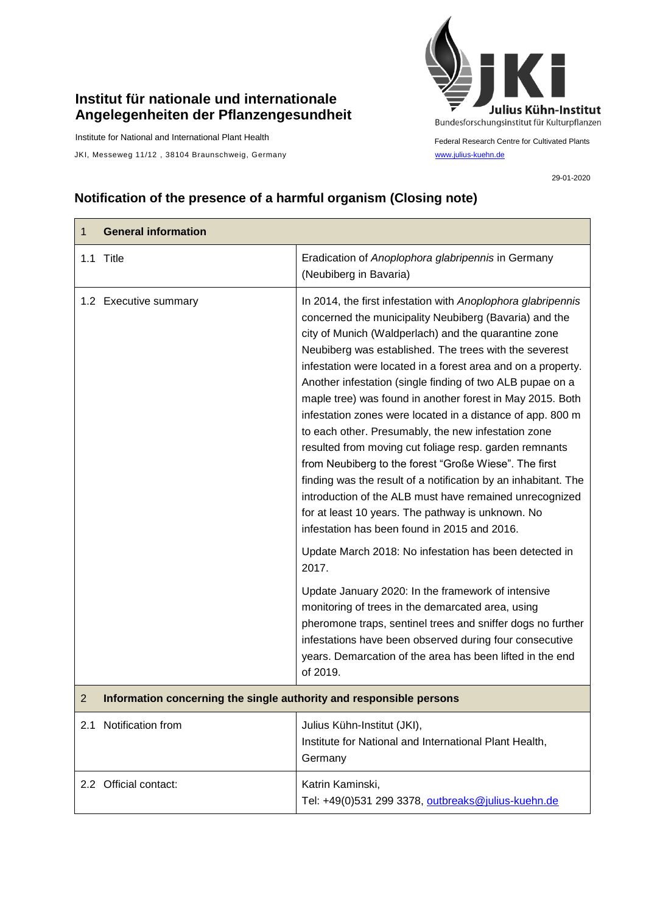## **Institut für nationale und internationale Angelegenheiten der Pflanzengesundheit**

Institute for National and International Plant Health

JKI, Messeweg 11/12, 38104 Braunschweig, Germany [www.julius-kuehn.de](http://www.julius-kuehn.de/)



Federal Research Centre for Cultivated Plants

29-01-2020

## **Notification of the presence of a harmful organism (Closing note)**

| 1              | <b>General information</b>                                          |                                                                                                                                                                                                                                                                                                                                                                                                                                                                                                                                                                                                                                                                                                                                                                                                                                                                                                              |
|----------------|---------------------------------------------------------------------|--------------------------------------------------------------------------------------------------------------------------------------------------------------------------------------------------------------------------------------------------------------------------------------------------------------------------------------------------------------------------------------------------------------------------------------------------------------------------------------------------------------------------------------------------------------------------------------------------------------------------------------------------------------------------------------------------------------------------------------------------------------------------------------------------------------------------------------------------------------------------------------------------------------|
|                | 1.1 Title                                                           | Eradication of Anoplophora glabripennis in Germany<br>(Neubiberg in Bavaria)                                                                                                                                                                                                                                                                                                                                                                                                                                                                                                                                                                                                                                                                                                                                                                                                                                 |
|                | 1.2 Executive summary                                               | In 2014, the first infestation with Anoplophora glabripennis<br>concerned the municipality Neubiberg (Bavaria) and the<br>city of Munich (Waldperlach) and the quarantine zone<br>Neubiberg was established. The trees with the severest<br>infestation were located in a forest area and on a property.<br>Another infestation (single finding of two ALB pupae on a<br>maple tree) was found in another forest in May 2015. Both<br>infestation zones were located in a distance of app. 800 m<br>to each other. Presumably, the new infestation zone<br>resulted from moving cut foliage resp. garden remnants<br>from Neubiberg to the forest "Große Wiese". The first<br>finding was the result of a notification by an inhabitant. The<br>introduction of the ALB must have remained unrecognized<br>for at least 10 years. The pathway is unknown. No<br>infestation has been found in 2015 and 2016. |
|                |                                                                     | Update March 2018: No infestation has been detected in<br>2017.                                                                                                                                                                                                                                                                                                                                                                                                                                                                                                                                                                                                                                                                                                                                                                                                                                              |
|                |                                                                     | Update January 2020: In the framework of intensive<br>monitoring of trees in the demarcated area, using<br>pheromone traps, sentinel trees and sniffer dogs no further<br>infestations have been observed during four consecutive<br>years. Demarcation of the area has been lifted in the end<br>of 2019.                                                                                                                                                                                                                                                                                                                                                                                                                                                                                                                                                                                                   |
| $\overline{2}$ | Information concerning the single authority and responsible persons |                                                                                                                                                                                                                                                                                                                                                                                                                                                                                                                                                                                                                                                                                                                                                                                                                                                                                                              |
|                | 2.1 Notification from                                               | Julius Kühn-Institut (JKI),<br>Institute for National and International Plant Health,<br>Germany                                                                                                                                                                                                                                                                                                                                                                                                                                                                                                                                                                                                                                                                                                                                                                                                             |
|                | 2.2 Official contact:                                               | Katrin Kaminski,<br>Tel: +49(0)531 299 3378, outbreaks@julius-kuehn.de                                                                                                                                                                                                                                                                                                                                                                                                                                                                                                                                                                                                                                                                                                                                                                                                                                       |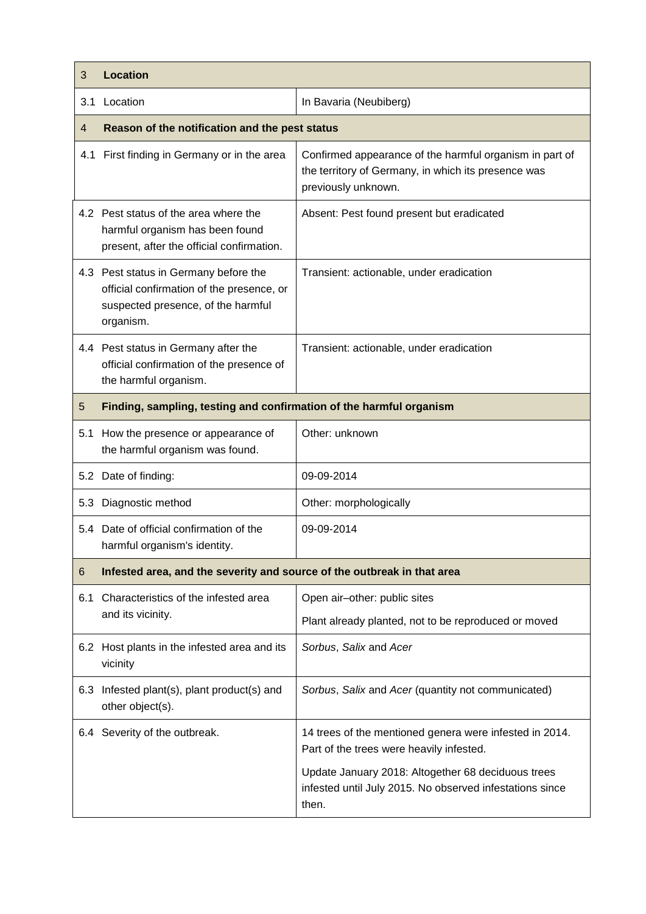| 3   | <b>Location</b>                                                                                                                       |                                                                                                                                       |  |
|-----|---------------------------------------------------------------------------------------------------------------------------------------|---------------------------------------------------------------------------------------------------------------------------------------|--|
| 3.1 | Location                                                                                                                              | In Bavaria (Neubiberg)                                                                                                                |  |
| 4   | Reason of the notification and the pest status                                                                                        |                                                                                                                                       |  |
| 4.1 | First finding in Germany or in the area                                                                                               | Confirmed appearance of the harmful organism in part of<br>the territory of Germany, in which its presence was<br>previously unknown. |  |
|     | 4.2 Pest status of the area where the<br>harmful organism has been found<br>present, after the official confirmation.                 | Absent: Pest found present but eradicated                                                                                             |  |
|     | 4.3 Pest status in Germany before the<br>official confirmation of the presence, or<br>suspected presence, of the harmful<br>organism. | Transient: actionable, under eradication                                                                                              |  |
|     | 4.4 Pest status in Germany after the<br>official confirmation of the presence of<br>the harmful organism.                             | Transient: actionable, under eradication                                                                                              |  |
| 5   | Finding, sampling, testing and confirmation of the harmful organism                                                                   |                                                                                                                                       |  |
| 5.1 | How the presence or appearance of<br>the harmful organism was found.                                                                  | Other: unknown                                                                                                                        |  |
|     | 5.2 Date of finding:                                                                                                                  | 09-09-2014                                                                                                                            |  |
|     | 5.3 Diagnostic method                                                                                                                 | Other: morphologically                                                                                                                |  |
|     | 5.4 Date of official confirmation of the<br>harmful organism's identity.                                                              | 09-09-2014                                                                                                                            |  |
| 6   | Infested area, and the severity and source of the outbreak in that area                                                               |                                                                                                                                       |  |
| 6.1 | Characteristics of the infested area<br>and its vicinity.                                                                             | Open air-other: public sites                                                                                                          |  |
|     |                                                                                                                                       | Plant already planted, not to be reproduced or moved                                                                                  |  |
|     | 6.2 Host plants in the infested area and its<br>vicinity                                                                              | Sorbus, Salix and Acer                                                                                                                |  |
|     | 6.3 Infested plant(s), plant product(s) and<br>other object(s).                                                                       | Sorbus, Salix and Acer (quantity not communicated)                                                                                    |  |
|     | 6.4 Severity of the outbreak.                                                                                                         | 14 trees of the mentioned genera were infested in 2014.<br>Part of the trees were heavily infested.                                   |  |
|     |                                                                                                                                       | Update January 2018: Altogether 68 deciduous trees<br>infested until July 2015. No observed infestations since<br>then.               |  |